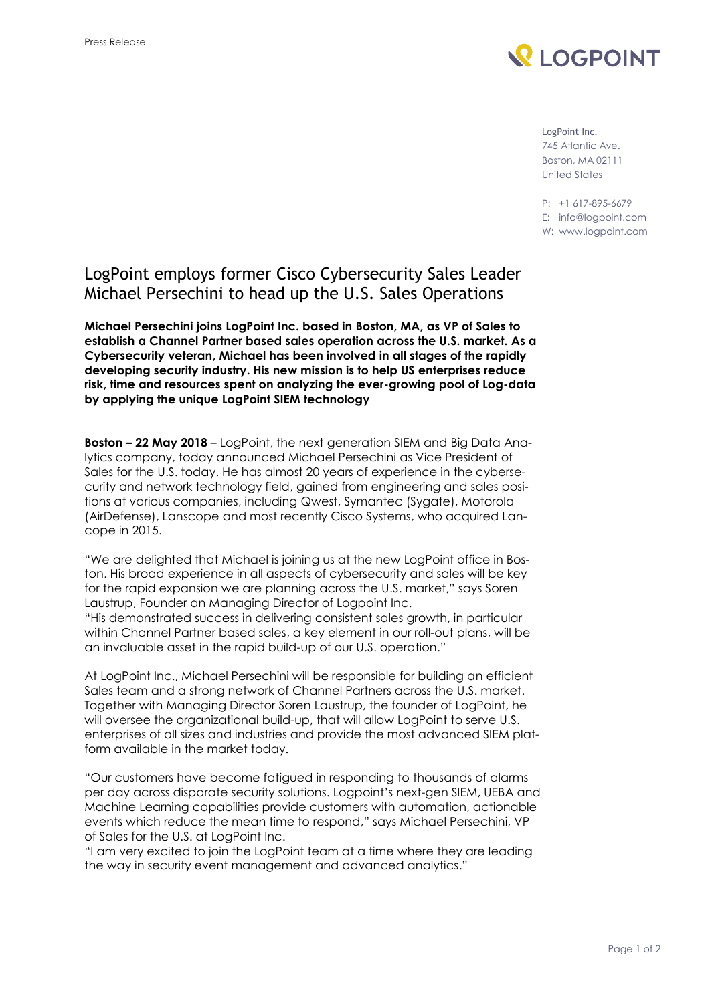

LogPoint Inc. 745 Atlantic Ave. Boston, MA 02111 United States

P: +1 617-895-6679 E: [info@logpoint.com](mailto:info@logpoint.com)

W: [www.logpoint.com](http://www.logpoint.com/)

## LogPoint employs former Cisco Cybersecurity Sales Leader Michael Persechini to head up the U.S. Sales Operations

**Michael Persechini joins LogPoint Inc. based in Boston, MA, as VP of Sales to establish a Channel Partner based sales operation across the U.S. market. As a Cybersecurity veteran, Michael has been involved in all stages of the rapidly developing security industry. His new mission is to help US enterprises reduce risk, time and resources spent on analyzing the ever-growing pool of Log-data by applying the unique LogPoint SIEM technology**

**Boston – 22 May 2018** – LogPoint, the next generation SIEM and Big Data Analytics company, today announced Michael Persechini as Vice President of Sales for the U.S. today. He has almost 20 years of experience in the cybersecurity and network technology field, gained from engineering and sales positions at various companies, including Qwest, Symantec (Sygate), Motorola (AirDefense), Lanscope and most recently Cisco Systems, who acquired Lancope in 2015.

"We are delighted that Michael is joining us at the new LogPoint office in Boston. His broad experience in all aspects of cybersecurity and sales will be key for the rapid expansion we are planning across the U.S. market," says Soren Laustrup, Founder an Managing Director of Logpoint Inc. "His demonstrated success in delivering consistent sales growth, in particular within Channel Partner based sales, a key element in our roll-out plans, will be

an invaluable asset in the rapid build-up of our U.S. operation."

At LogPoint Inc., Michael Persechini will be responsible for building an efficient Sales team and a strong network of Channel Partners across the U.S. market. Together with Managing Director Soren Laustrup, the founder of LogPoint, he will oversee the organizational build-up, that will allow LogPoint to serve U.S. enterprises of all sizes and industries and provide the most advanced SIEM platform available in the market today.

"Our customers have become fatigued in responding to thousands of alarms per day across disparate security solutions. Logpoint's next-gen SIEM, UEBA and Machine Learning capabilities provide customers with automation, actionable events which reduce the mean time to respond," says Michael Persechini, VP of Sales for the U.S. at LogPoint Inc.

"I am very excited to join the LogPoint team at a time where they are leading the way in security event management and advanced analytics."